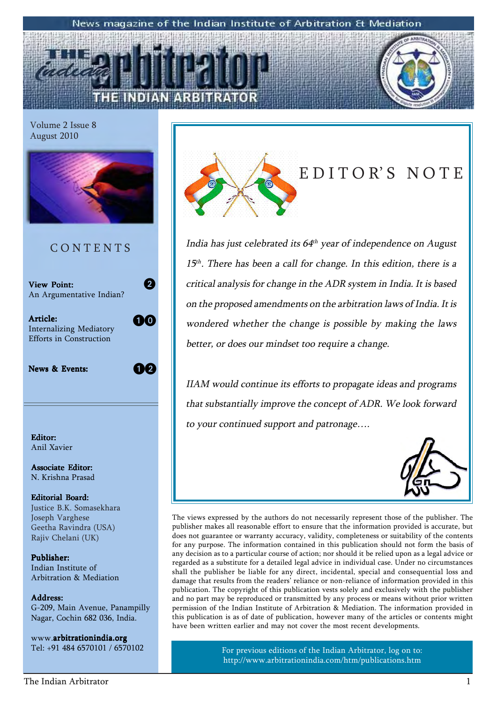#### News magazine of the Indian Institute of Arbitration & Mediation

Volume 2 Issue 8 August 2010



### C O N T E N T S

View Point: An Argumentative Indian?

Article: Article: Internalizing Mediatory Efforts in Construction

News & Events:

 $1<sup>7</sup>2$ 

10

2

Editor: Anil Xavier

Associate Editor: N. Krishna Prasad

Editorial Board: Justice B.K. Somasekhara Joseph Varghese Geetha Ravindra (USA) Rajiv Chelani (UK)

Publisher: Indian Institute of Arbitration & Mediation

Address: Address: G-209, Main Avenue, Panampilly Nagar, Cochin 682 036, India.

www.arbitrationindia.org Tel: +91 484 6570101 / 6570102



### EDITOR'S NOTE

India has just celebrated its  $64<sup>th</sup>$  year of independence on August  $15<sup>th</sup>$ . There has been a call for change. In this edition, there is a critical analysis for change in the ADR system in India. It is based on the proposed amendments on the arbitration laws of India. It is wondered whether the change is possible by making the laws better, or does our mindset too require a change.

IIAM would continue its efforts to propagate ideas and programs that substantially improve the concept of ADR. We look forward to your continued support and patronage....



The views expressed by the authors do not necessarily represent those of the publisher. The publisher makes all reasonable effort to ensure that the information provided is accurate, but does not guarantee or warranty accuracy, validity, completeness or suitability of the contents for any purpose. The information contained in this publication should not form the basis of any decision as to a particular course of action; nor should it be relied upon as a legal advice or regarded as a substitute for a detailed legal advice in individual case. Under no circumstances shall the publisher be liable for any direct, incidental, special and consequential loss and damage that results from the readers' reliance or non-reliance of information provided in this publication. The copyright of this publication vests solely and exclusively with the publisher and no part may be reproduced or transmitted by any process or means without prior written permission of the Indian Institute of Arbitration & Mediation. The information provided in this publication is as of date of publication, however many of the articles or contents might have been written earlier and may not cover the most recent developments.

> For previous editions of the Indian Arbitrator, log on to: http://www.arbitrationindia.com/htm/publications.htm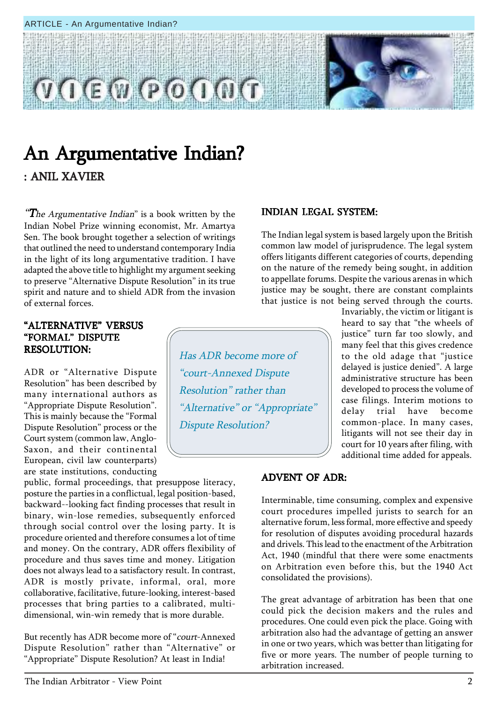



### An Argumentative Indian? : ANIL XAVIER

**The Argumentative Indian**" is a book written by the Indian Nobel Prize winning economist, Mr. Amartya Sen. The book brought together a selection of writings that outlined the need to understand contemporary India in the light of its long argumentative tradition. I have adapted the above title to highlight my argument seeking to preserve "Alternative Dispute Resolution" in its true spirit and nature and to shield ADR from the invasion of external forces.

#### "ALTERNATIVE" VERSUS "FORMAL" DISPUTE RESOLUTION:

ADR or "Alternative Dispute Resolution" has been described by many international authors as ìAppropriate Dispute Resolutionî. This is mainly because the "Formal Dispute Resolution" process or the Court system (common law, Anglo-Saxon, and their continental European, civil law counterparts) are state institutions, conducting

public, formal proceedings, that presuppose literacy, posture the parties in a conflictual, legal position-based, backward--looking fact finding processes that result in binary, win-lose remedies, subsequently enforced through social control over the losing party. It is procedure oriented and therefore consumes a lot of time and money. On the contrary, ADR offers flexibility of procedure and thus saves time and money. Litigation does not always lead to a satisfactory result. In contrast, ADR is mostly private, informal, oral, more collaborative, facilitative, future-looking, interest-based processes that bring parties to a calibrated, multidimensional, win-win remedy that is more durable.

But recently has ADR become more of "court-Annexed" Dispute Resolution" rather than "Alternative" or "Appropriate" Dispute Resolution? At least in India!

#### INDIAN LEGAL SYSTEM:

The Indian legal system is based largely upon the British common law model of jurisprudence. The legal system offers litigants different categories of courts, depending on the nature of the remedy being sought, in addition to appellate forums. Despite the various arenas in which justice may be sought, there are constant complaints that justice is not being served through the courts.

> Invariably, the victim or litigant is heard to say that "the wheels of justice" turn far too slowly, and many feel that this gives credence to the old adage that "justice delayed is justice denied". A large administrative structure has been developed to process the volume of case filings. Interim motions to delay trial have become common-place. In many cases, litigants will not see their day in court for 10 years after filing, with additional time added for appeals.

#### ADVENT OF ADR:

Has ADR become more of

ìcourt-Annexed Dispute

Resolution<sup>"</sup> rather than

Dispute Resolution?

"Alternative" or "Appropriate"

Interminable, time consuming, complex and expensive court procedures impelled jurists to search for an alternative forum, less formal, more effective and speedy for resolution of disputes avoiding procedural hazards and drivels. This lead to the enactment of the Arbitration Act, 1940 (mindful that there were some enactments on Arbitration even before this, but the 1940 Act consolidated the provisions).

The great advantage of arbitration has been that one could pick the decision makers and the rules and procedures. One could even pick the place. Going with arbitration also had the advantage of getting an answer in one or two years, which was better than litigating for five or more years. The number of people turning to arbitration increased.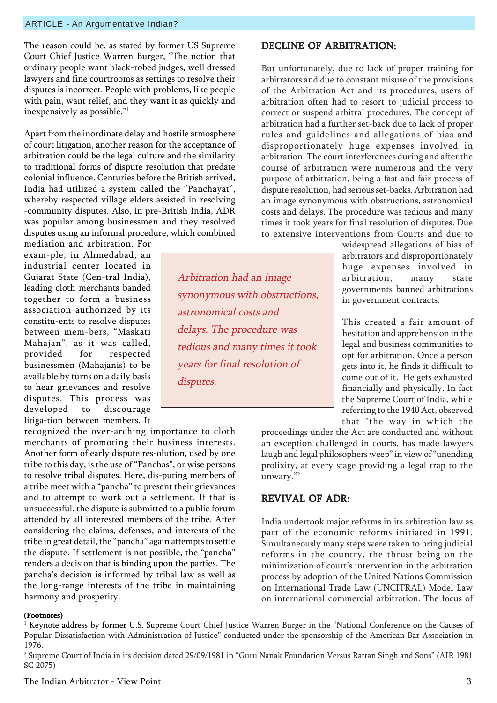The reason could be, as stated by former US Supreme Court Chief Justice Warren Burger, "The notion that ordinary people want black-robed judges, well dressed lawyers and fine courtrooms as settings to resolve their disputes is incorrect. People with problems, like people with pain, want relief, and they want it as quickly and inexpensively as possible. $"$ <sup>1</sup>

Apart from the inordinate delay and hostile atmosphere of court litigation, another reason for the acceptance of arbitration could be the legal culture and the similarity to traditional forms of dispute resolution that predate colonial influence. Centuries before the British arrived, India had utilized a system called the "Panchayat", whereby respected village elders assisted in resolving -community disputes. Also, in pre-British India, ADR was popular among businessmen and they resolved disputes using an informal procedure, which combined

mediation and arbitration. For exam-ple, in Ahmedabad, an industrial center located in Gujarat State (Cen-tral India), leading cloth merchants banded together to form a business association authorized by its constitu-ents to resolve disputes between mem-bers, "Maskati Mahajanî, as it was called, provided for respected businessmen (Mahajanis) to be available by turns on a daily basis to hear grievances and resolve disputes. This process was developed to discourage litiga-tion between members. It

recognized the over-arching importance to cloth merchants of promoting their business interests. Another form of early dispute res-olution, used by one tribe to this day, is the use of "Panchas", or wise persons to resolve tribal disputes. Here, dis-puting members of a tribe meet with a "pancha" to present their grievances and to attempt to work out a settlement. If that is unsuccessful, the dispute is submitted to a public forum attended by all interested members of the tribe. After considering the claims, defenses, and interests of the tribe in great detail, the "pancha" again attempts to settle the dispute. If settlement is not possible, the "pancha" renders a decision that is binding upon the parties. The panchaís decision is informed by tribal law as well as the long-range interests of the tribe in maintaining harmony and prosperity.

Arbitration had an image synonymous with obstructions, astronomical costs and delays. The procedure was tedious and many times it took years for final resolution of disputes.

#### DECLINE OF ARBITRATION:

But unfortunately, due to lack of proper training for arbitrators and due to constant misuse of the provisions of the Arbitration Act and its procedures, users of arbitration often had to resort to judicial process to correct or suspend arbitral procedures. The concept of arbitration had a further set-back due to lack of proper rules and guidelines and allegations of bias and disproportionately huge expenses involved in arbitration. The court interferences during and after the course of arbitration were numerous and the very purpose of arbitration, being a fast and fair process of dispute resolution, had serious set-backs. Arbitration had an image synonymous with obstructions, astronomical costs and delays. The procedure was tedious and many times it took years for final resolution of disputes. Due to extensive interventions from Courts and due to

> widespread allegations of bias of arbitrators and disproportionately huge expenses involved in arbitration, many state governments banned arbitrations in government contracts.

> This created a fair amount of hesitation and apprehension in the legal and business communities to opt for arbitration. Once a person gets into it, he finds it difficult to come out of it. He gets exhausted financially and physically. In fact the Supreme Court of India, while referring to the 1940 Act, observed that "the way in which the

proceedings under the Act are conducted and without an exception challenged in courts, has made lawyers laugh and legal philosophers weep" in view of "unending prolixity, at every stage providing a legal trap to the unwary."<sup>2</sup>

#### REVIVAL OF ADR:

India undertook major reforms in its arbitration law as part of the economic reforms initiated in 1991. Simultaneously many steps were taken to bring judicial reforms in the country, the thrust being on the minimization of court's intervention in the arbitration process by adoption of the United Nations Commission on International Trade Law (UNCITRAL) Model Law on international commercial arbitration. The focus of

 $^{\rm 1}$  Keynote address by former U.S. Supreme Court Chief Justice Warren Burger in the "National Conference on the Causes of Popular Dissatisfaction with Administration of Justiceî conducted under the sponsorship of the American Bar Association in 1976.

 $^2$  Supreme Court of India in its decision dated 29/09/1981 in "Guru Nanak Foundation Versus Rattan Singh and Sons" (AIR 1981 SC 2075)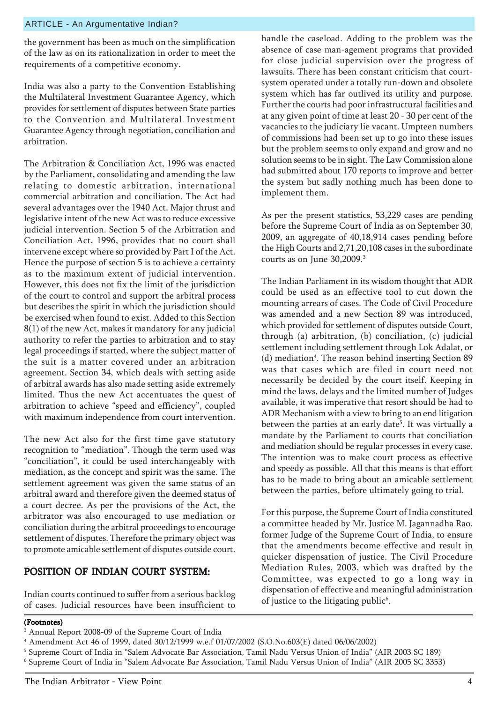the government has been as much on the simplification of the law as on its rationalization in order to meet the requirements of a competitive economy.

India was also a party to the Convention Establishing the Multilateral Investment Guarantee Agency, which provides for settlement of disputes between State parties to the Convention and Multilateral Investment Guarantee Agency through negotiation, conciliation and arbitration.

The Arbitration & Conciliation Act, 1996 was enacted by the Parliament, consolidating and amending the law relating to domestic arbitration, international commercial arbitration and conciliation. The Act had several advantages over the 1940 Act. Major thrust and legislative intent of the new Act was to reduce excessive judicial intervention. Section 5 of the Arbitration and Conciliation Act, 1996, provides that no court shall intervene except where so provided by Part I of the Act. Hence the purpose of section 5 is to achieve a certainty as to the maximum extent of judicial intervention. However, this does not fix the limit of the jurisdiction of the court to control and support the arbitral process but describes the spirit in which the jurisdiction should be exercised when found to exist. Added to this Section 8(1) of the new Act, makes it mandatory for any judicial authority to refer the parties to arbitration and to stay legal proceedings if started, where the subject matter of the suit is a matter covered under an arbitration agreement. Section 34, which deals with setting aside of arbitral awards has also made setting aside extremely limited. Thus the new Act accentuates the quest of arbitration to achieve "speed and efficiency", coupled with maximum independence from court intervention.

The new Act also for the first time gave statutory recognition to "mediation". Though the term used was ìconciliationî, it could be used interchangeably with mediation, as the concept and spirit was the same. The settlement agreement was given the same status of an arbitral award and therefore given the deemed status of a court decree. As per the provisions of the Act, the arbitrator was also encouraged to use mediation or conciliation during the arbitral proceedings to encourage settlement of disputes. Therefore the primary object was to promote amicable settlement of disputes outside court.

#### POSITION OF INDIAN COURT SYSTEM:

Indian courts continued to suffer from a serious backlog of cases. Judicial resources have been insufficient to

handle the caseload. Adding to the problem was the absence of case man-agement programs that provided for close judicial supervision over the progress of lawsuits. There has been constant criticism that courtsystem operated under a totally run-down and obsolete system which has far outlived its utility and purpose. Further the courts had poor infrastructural facilities and at any given point of time at least 20 - 30 per cent of the vacancies to the judiciary lie vacant. Umpteen numbers of commissions had been set up to go into these issues but the problem seems to only expand and grow and no solution seems to be in sight. The Law Commission alone had submitted about 170 reports to improve and better the system but sadly nothing much has been done to implement them.

As per the present statistics, 53,229 cases are pending before the Supreme Court of India as on September 30, 2009, an aggregate of 40,18,914 cases pending before the High Courts and 2,71,20,108 cases in the subordinate courts as on June 30,2009.3

The Indian Parliament in its wisdom thought that ADR could be used as an effective tool to cut down the mounting arrears of cases. The Code of Civil Procedure was amended and a new Section 89 was introduced, which provided for settlement of disputes outside Court, through (a) arbitration, (b) conciliation, (c) judicial settlement including settlement through Lok Adalat, or (d) mediation<sup>4</sup>. The reason behind inserting Section 89 was that cases which are filed in court need not necessarily be decided by the court itself. Keeping in mind the laws, delays and the limited number of Judges available, it was imperative that resort should be had to ADR Mechanism with a view to bring to an end litigation between the parties at an early date<sup>5</sup>. It was virtually a mandate by the Parliament to courts that conciliation and mediation should be regular processes in every case. The intention was to make court process as effective and speedy as possible. All that this means is that effort has to be made to bring about an amicable settlement between the parties, before ultimately going to trial.

For this purpose, the Supreme Court of India constituted a committee headed by Mr. Justice M. Jagannadha Rao, former Judge of the Supreme Court of India, to ensure that the amendments become effective and result in quicker dispensation of justice. The Civil Procedure Mediation Rules, 2003, which was drafted by the Committee, was expected to go a long way in dispensation of effective and meaningful administration of justice to the litigating public<sup>6</sup>.

<sup>3</sup> Annual Report 2008-09 of the Supreme Court of India

<sup>4</sup> Amendment Act 46 of 1999, dated 30/12/1999 w.e.f 01/07/2002 (S.O.No.603(E) dated 06/06/2002)

 $^5$  Supreme Court of India in "Salem Advocate Bar Association, Tamil Nadu Versus Union of India" (AIR 2003 SC 189)

<sup>&</sup>lt;sup>6</sup> Supreme Court of India in "Salem Advocate Bar Association, Tamil Nadu Versus Union of India" (AIR 2005 SC 3353)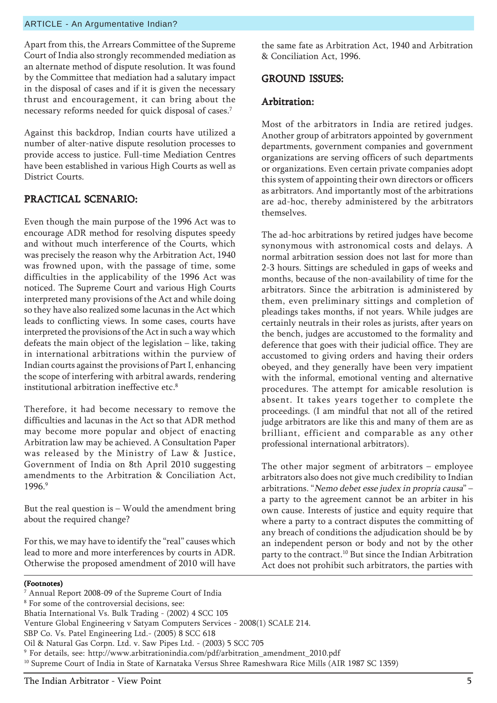Apart from this, the Arrears Committee of the Supreme Court of India also strongly recommended mediation as an alternate method of dispute resolution. It was found by the Committee that mediation had a salutary impact in the disposal of cases and if it is given the necessary thrust and encouragement, it can bring about the necessary reforms needed for quick disposal of cases.7

Against this backdrop, Indian courts have utilized a number of alter-native dispute resolution processes to provide access to justice. Full-time Mediation Centres have been established in various High Courts as well as District Courts.

#### PRACTICAL SCENARIO: PRACTICAL

Even though the main purpose of the 1996 Act was to encourage ADR method for resolving disputes speedy and without much interference of the Courts, which was precisely the reason why the Arbitration Act, 1940 was frowned upon, with the passage of time, some difficulties in the applicability of the 1996 Act was noticed. The Supreme Court and various High Courts interpreted many provisions of the Act and while doing so they have also realized some lacunas in the Act which leads to conflicting views. In some cases, courts have interpreted the provisions of the Act in such a way which defeats the main object of the legislation  $-$  like, taking in international arbitrations within the purview of Indian courts against the provisions of Part I, enhancing the scope of interfering with arbitral awards, rendering institutional arbitration ineffective etc.8

Therefore, it had become necessary to remove the difficulties and lacunas in the Act so that ADR method may become more popular and object of enacting Arbitration law may be achieved. A Consultation Paper was released by the Ministry of Law & Justice, Government of India on 8th April 2010 suggesting amendments to the Arbitration & Conciliation Act, 1996<sup>9</sup>

But the real question is  $-$  Would the amendment bring about the required change?

For this, we may have to identify the "real" causes which lead to more and more interferences by courts in ADR. Otherwise the proposed amendment of 2010 will have the same fate as Arbitration Act, 1940 and Arbitration & Conciliation Act, 1996.

#### GROUND ISSUES: GROUND ISSUES:

#### Arbitration: Arbitration:

Most of the arbitrators in India are retired judges. Another group of arbitrators appointed by government departments, government companies and government organizations are serving officers of such departments or organizations. Even certain private companies adopt this system of appointing their own directors or officers as arbitrators. And importantly most of the arbitrations are ad-hoc, thereby administered by the arbitrators themselves.

The ad-hoc arbitrations by retired judges have become synonymous with astronomical costs and delays. A normal arbitration session does not last for more than 2-3 hours. Sittings are scheduled in gaps of weeks and months, because of the non-availability of time for the arbitrators. Since the arbitration is administered by them, even preliminary sittings and completion of pleadings takes months, if not years. While judges are certainly neutrals in their roles as jurists, after years on the bench, judges are accustomed to the formality and deference that goes with their judicial office. They are accustomed to giving orders and having their orders obeyed, and they generally have been very impatient with the informal, emotional venting and alternative procedures. The attempt for amicable resolution is absent. It takes years together to complete the proceedings. (I am mindful that not all of the retired judge arbitrators are like this and many of them are as brilliant, efficient and comparable as any other professional international arbitrators).

The other major segment of arbitrators  $-$  employee arbitrators also does not give much credibility to Indian arbitrations. "Nemo debet esse judex in propria causa" a party to the agreement cannot be an arbiter in his own cause. Interests of justice and equity require that where a party to a contract disputes the committing of any breach of conditions the adjudication should be by an independent person or body and not by the other party to the contract.<sup>10</sup> But since the Indian Arbitration Act does not prohibit such arbitrators, the parties with

- 7 Annual Report 2008-09 of the Supreme Court of India 8 For some of the controversial decisions, see: Bhatia International Vs. Bulk Trading - (2002) 4 SCC 105 Venture Global Engineering v Satyam Computers Services - 2008(1) SCALE 214. SBP Co. Vs. Patel Engineering Ltd.- (2005) 8 SCC 618 Oil & Natural Gas Corpn. Ltd. v. Saw Pipes Ltd. - (2003) 5 SCC 705
- 9 For details, see: http://www.arbitrationindia.com/pdf/arbitration\_amendment\_2010.pdf
- 10 Supreme Court of India in State of Karnataka Versus Shree Rameshwara Rice Mills (AIR 1987 SC 1359)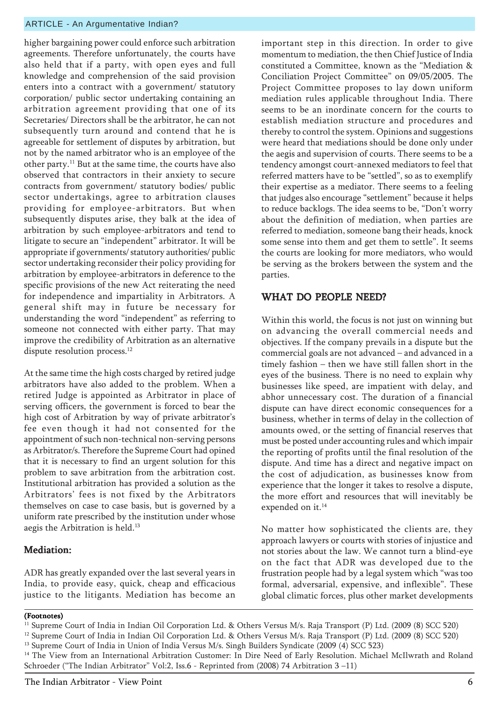higher bargaining power could enforce such arbitration agreements. Therefore unfortunately, the courts have also held that if a party, with open eyes and full knowledge and comprehension of the said provision enters into a contract with a government/ statutory corporation/ public sector undertaking containing an arbitration agreement providing that one of its Secretaries/ Directors shall be the arbitrator, he can not subsequently turn around and contend that he is agreeable for settlement of disputes by arbitration, but not by the named arbitrator who is an employee of the other party.11 But at the same time, the courts have also observed that contractors in their anxiety to secure contracts from government/ statutory bodies/ public sector undertakings, agree to arbitration clauses providing for employee-arbitrators. But when subsequently disputes arise, they balk at the idea of arbitration by such employee-arbitrators and tend to litigate to secure an "independent" arbitrator. It will be appropriate if governments/ statutory authorities/ public sector undertaking reconsider their policy providing for arbitration by employee-arbitrators in deference to the specific provisions of the new Act reiterating the need for independence and impartiality in Arbitrators. A general shift may in future be necessary for understanding the word "independent" as referring to someone not connected with either party. That may improve the credibility of Arbitration as an alternative dispute resolution process.<sup>12</sup>

At the same time the high costs charged by retired judge arbitrators have also added to the problem. When a retired Judge is appointed as Arbitrator in place of serving officers, the government is forced to bear the high cost of Arbitration by way of private arbitrator's fee even though it had not consented for the appointment of such non-technical non-serving persons as Arbitrator/s. Therefore the Supreme Court had opined that it is necessary to find an urgent solution for this problem to save arbitration from the arbitration cost. Institutional arbitration has provided a solution as the Arbitrators' fees is not fixed by the Arbitrators themselves on case to case basis, but is governed by a uniform rate prescribed by the institution under whose aegis the Arbitration is held.<sup>13</sup>

#### Mediation:

ADR has greatly expanded over the last several years in India, to provide easy, quick, cheap and efficacious justice to the litigants. Mediation has become an

important step in this direction. In order to give momentum to mediation, the then Chief Justice of India constituted a Committee, known as the "Mediation & Conciliation Project Committee" on 09/05/2005. The Project Committee proposes to lay down uniform mediation rules applicable throughout India. There seems to be an inordinate concern for the courts to establish mediation structure and procedures and thereby to control the system. Opinions and suggestions were heard that mediations should be done only under the aegis and supervision of courts. There seems to be a tendency amongst court-annexed mediators to feel that referred matters have to be "settled", so as to exemplify their expertise as a mediator. There seems to a feeling that judges also encourage "settlement" because it helps to reduce backlogs. The idea seems to be, "Don't worry about the definition of mediation, when parties are referred to mediation, someone bang their heads, knock some sense into them and get them to settle". It seems the courts are looking for more mediators, who would be serving as the brokers between the system and the parties.

#### WHAT DO PEOPLE NEED?

Within this world, the focus is not just on winning but on advancing the overall commercial needs and objectives. If the company prevails in a dispute but the commercial goals are not advanced  $-$  and advanced in a timely fashion  $-$  then we have still fallen short in the eyes of the business. There is no need to explain why businesses like speed, are impatient with delay, and abhor unnecessary cost. The duration of a financial dispute can have direct economic consequences for a business, whether in terms of delay in the collection of amounts owed, or the setting of financial reserves that must be posted under accounting rules and which impair the reporting of profits until the final resolution of the dispute. And time has a direct and negative impact on the cost of adjudication, as businesses know from experience that the longer it takes to resolve a dispute, the more effort and resources that will inevitably be expended on it.<sup>14</sup>

No matter how sophisticated the clients are, they approach lawyers or courts with stories of injustice and not stories about the law. We cannot turn a blind-eye on the fact that ADR was developed due to the frustration people had by a legal system which "was too formal, adversarial, expensive, and inflexible". These global climatic forces, plus other market developments

<sup>11</sup> Supreme Court of India in Indian Oil Corporation Ltd. & Others Versus M/s. Raja Transport (P) Ltd. (2009 (8) SCC 520)

<sup>&</sup>lt;sup>12</sup> Supreme Court of India in Indian Oil Corporation Ltd. & Others Versus M/s. Raja Transport (P) Ltd. (2009 (8) SCC 520)

<sup>&</sup>lt;sup>13</sup> Supreme Court of India in Union of India Versus M/s. Singh Builders Syndicate (2009 (4) SCC 523)

<sup>&</sup>lt;sup>14</sup> The View from an International Arbitration Customer: In Dire Need of Early Resolution. Michael McIlwrath and Roland Schroeder ("The Indian Arbitrator" Vol:2, Iss.6 - Reprinted from (2008) 74 Arbitration 3 -11)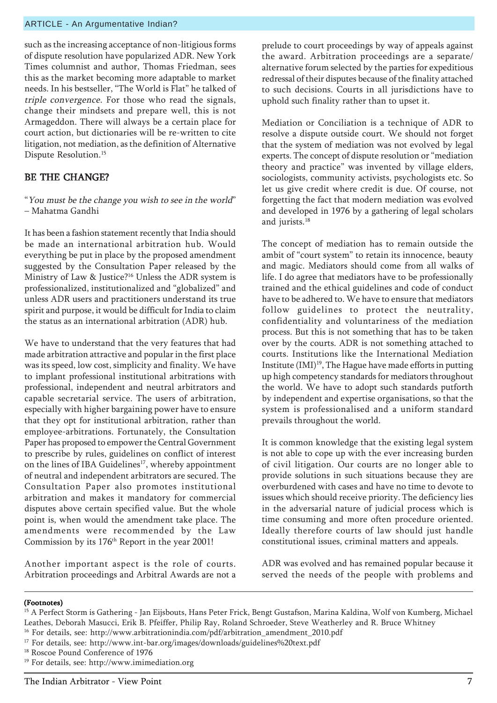such as the increasing acceptance of non-litigious forms of dispute resolution have popularized ADR. New York Times columnist and author, Thomas Friedman, sees this as the market becoming more adaptable to market needs. In his bestseller, "The World is Flat" he talked of triple convergence. For those who read the signals, change their mindsets and prepare well, this is not Armageddon. There will always be a certain place for court action, but dictionaries will be re-written to cite litigation, not mediation, as the definition of Alternative Dispute Resolution.<sup>15</sup>

#### BE THE CHANGE?

"You must be the change you wish to see in the world" – Mahatma Gandhi

It has been a fashion statement recently that India should be made an international arbitration hub. Would everything be put in place by the proposed amendment suggested by the Consultation Paper released by the Ministry of Law & Justice?<sup>16</sup> Unless the ADR system is professionalized, institutionalized and "globalized" and unless ADR users and practitioners understand its true spirit and purpose, it would be difficult for India to claim the status as an international arbitration (ADR) hub.

We have to understand that the very features that had made arbitration attractive and popular in the first place was its speed, low cost, simplicity and finality. We have to implant professional institutional arbitrations with professional, independent and neutral arbitrators and capable secretarial service. The users of arbitration, especially with higher bargaining power have to ensure that they opt for institutional arbitration, rather than employee-arbitrations. Fortunately, the Consultation Paper has proposed to empower the Central Government to prescribe by rules, guidelines on conflict of interest on the lines of IBA Guidelines<sup>17</sup>, whereby appointment of neutral and independent arbitrators are secured. The Consultation Paper also promotes institutional arbitration and makes it mandatory for commercial disputes above certain specified value. But the whole point is, when would the amendment take place. The amendments were recommended by the Law Commission by its 176th Report in the year 2001!

Another important aspect is the role of courts. Arbitration proceedings and Arbitral Awards are not a prelude to court proceedings by way of appeals against the award. Arbitration proceedings are a separate/ alternative forum selected by the parties for expeditious redressal of their disputes because of the finality attached to such decisions. Courts in all jurisdictions have to uphold such finality rather than to upset it.

Mediation or Conciliation is a technique of ADR to resolve a dispute outside court. We should not forget that the system of mediation was not evolved by legal experts. The concept of dispute resolution or "mediation theory and practice" was invented by village elders, sociologists, community activists, psychologists etc. So let us give credit where credit is due. Of course, not forgetting the fact that modern mediation was evolved and developed in 1976 by a gathering of legal scholars and jurists.<sup>18</sup>

The concept of mediation has to remain outside the ambit of "court system" to retain its innocence, beauty and magic. Mediators should come from all walks of life. I do agree that mediators have to be professionally trained and the ethical guidelines and code of conduct have to be adhered to. We have to ensure that mediators follow guidelines to protect the neutrality, confidentiality and voluntariness of the mediation process. But this is not something that has to be taken over by the courts. ADR is not something attached to courts. Institutions like the International Mediation Institute  $(IMI)^{19}$ , The Hague have made efforts in putting up high competency standards for mediators throughout the world. We have to adopt such standards putforth by independent and expertise organisations, so that the system is professionalised and a uniform standard prevails throughout the world.

It is common knowledge that the existing legal system is not able to cope up with the ever increasing burden of civil litigation. Our courts are no longer able to provide solutions in such situations because they are overburdened with cases and have no time to devote to issues which should receive priority. The deficiency lies in the adversarial nature of judicial process which is time consuming and more often procedure oriented. Ideally therefore courts of law should just handle constitutional issues, criminal matters and appeals.

ADR was evolved and has remained popular because it served the needs of the people with problems and

<sup>&</sup>lt;sup>15</sup> A Perfect Storm is Gathering - Jan Eijsbouts, Hans Peter Frick, Bengt Gustafson, Marina Kaldina, Wolf von Kumberg, Michael Leathes, Deborah Masucci, Erik B. Pfeiffer, Philip Ray, Roland Schroeder, Steve Weatherley and R. Bruce Whitney

<sup>&</sup>lt;sup>16</sup> For details, see: http://www.arbitrationindia.com/pdf/arbitration\_amendment\_2010.pdf

<sup>&</sup>lt;sup>17</sup> For details, see: http://www.int-bar.org/images/downloads/guidelines%20text.pdf

<sup>&</sup>lt;sup>18</sup> Roscoe Pound Conference of 1976

<sup>19</sup> For details, see: http://www.imimediation.org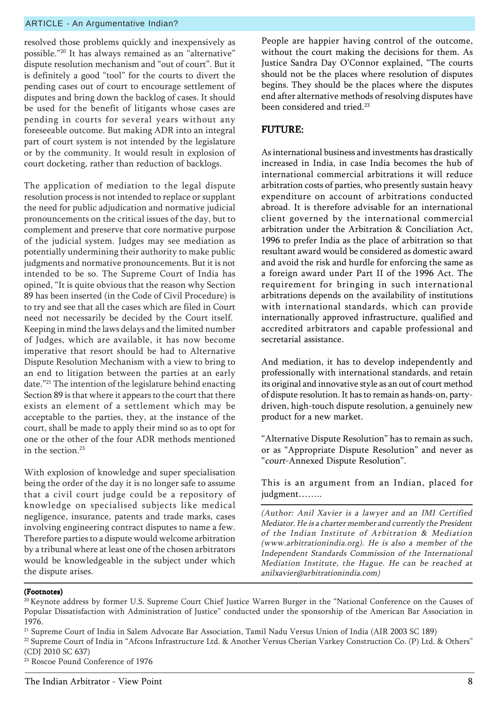resolved those problems quickly and inexpensively as possible.<sup>"20</sup> It has always remained as an "alternative" dispute resolution mechanism and "out of court". But it is definitely a good "tool" for the courts to divert the pending cases out of court to encourage settlement of disputes and bring down the backlog of cases. It should be used for the benefit of litigants whose cases are pending in courts for several years without any foreseeable outcome. But making ADR into an integral part of court system is not intended by the legislature or by the community. It would result in explosion of court docketing, rather than reduction of backlogs.

The application of mediation to the legal dispute resolution process is not intended to replace or supplant the need for public adjudication and normative judicial pronouncements on the critical issues of the day, but to complement and preserve that core normative purpose of the judicial system. Judges may see mediation as potentially undermining their authority to make public judgments and normative pronouncements. But it is not intended to be so. The Supreme Court of India has opined, "It is quite obvious that the reason why Section 89 has been inserted (in the Code of Civil Procedure) is to try and see that all the cases which are filed in Court need not necessarily be decided by the Court itself. Keeping in mind the laws delays and the limited number of Judges, which are available, it has now become imperative that resort should be had to Alternative Dispute Resolution Mechanism with a view to bring to an end to litigation between the parties at an early date."<sup>21</sup> The intention of the legislature behind enacting Section 89 is that where it appears to the court that there exists an element of a settlement which may be acceptable to the parties, they, at the instance of the court, shall be made to apply their mind so as to opt for one or the other of the four ADR methods mentioned in the section.<sup>23</sup>

With explosion of knowledge and super specialisation being the order of the day it is no longer safe to assume that a civil court judge could be a repository of knowledge on specialised subjects like medical negligence, insurance, patents and trade marks, cases involving engineering contract disputes to name a few. Therefore parties to a dispute would welcome arbitration by a tribunal where at least one of the chosen arbitrators would be knowledgeable in the subject under which the dispute arises.

People are happier having control of the outcome, without the court making the decisions for them. As Justice Sandra Day O'Connor explained, "The courts should not be the places where resolution of disputes begins. They should be the places where the disputes end after alternative methods of resolving disputes have been considered and tried.<sup>23</sup>

#### FUTURE:

As international business and investments has drastically increased in India, in case India becomes the hub of international commercial arbitrations it will reduce arbitration costs of parties, who presently sustain heavy expenditure on account of arbitrations conducted abroad. It is therefore advisable for an international client governed by the international commercial arbitration under the Arbitration & Conciliation Act, 1996 to prefer India as the place of arbitration so that resultant award would be considered as domestic award and avoid the risk and hurdle for enforcing the same as a foreign award under Part II of the 1996 Act. The requirement for bringing in such international arbitrations depends on the availability of institutions with international standards, which can provide internationally approved infrastructure, qualified and accredited arbitrators and capable professional and secretarial assistance.

And mediation, it has to develop independently and professionally with international standards, and retain its original and innovative style as an out of court method of dispute resolution. It has to remain as hands-on, partydriven, high-touch dispute resolution, a genuinely new product for a new market.

"Alternative Dispute Resolution" has to remain as such, or as "Appropriate Dispute Resolution" and never as ìcourt-Annexed Dispute Resolutionî.

This is an argument from an Indian, placed for judgment........

(Author: Anil Xavier is a lawyer and an IMI Certified Mediator. He is a charter member and currently the President of the Indian Institute of Arbitration & Mediation (www.arbitrationindia.org). He is also a member of the Independent Standards Commission of the International Mediation Institute, the Hague. He can be reached at anilxavier@arbitrationindia.com)

#### (Footnotes)

21 Supreme Court of India in Salem Advocate Bar Association, Tamil Nadu Versus Union of India (AIR 2003 SC 189)

<sup>23</sup> Roscoe Pound Conference of 1976

 $20$  Keynote address by former U.S. Supreme Court Chief Justice Warren Burger in the "National Conference on the Causes of Popular Dissatisfaction with Administration of Justiceî conducted under the sponsorship of the American Bar Association in 1976.

<sup>&</sup>lt;sup>22</sup> Supreme Court of India in "Afcons Infrastructure Ltd. & Another Versus Cherian Varkey Construction Co. (P) Ltd. & Others" (CDJ 2010 SC 637)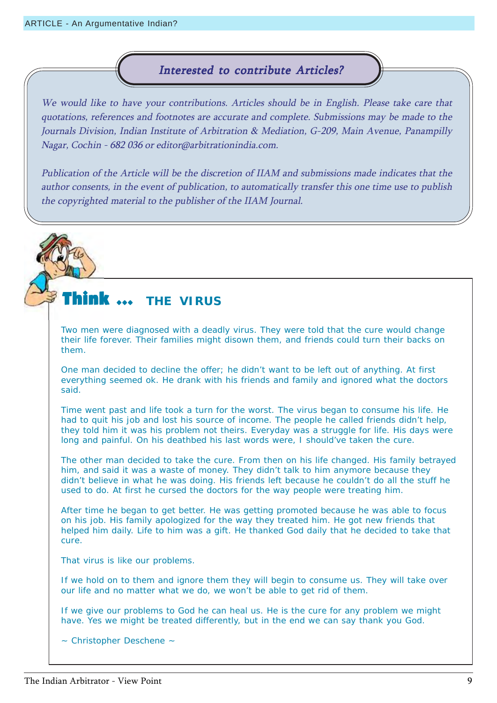#### Interested to contribute Articles?

We would like to have your contributions. Articles should be in English. Please take care that quotations, references and footnotes are accurate and complete. Submissions may be made to the Journals Division, Indian Institute of Arbitration & Mediation, G-209, Main Avenue, Panampilly Nagar, Cochin - 682 036 or editor@arbitrationindia.com.

Publication of the Article will be the discretion of IIAM and submissions made indicates that the author consents, in the event of publication, to automatically transfer this one time use to publish the copyrighted material to the publisher of the IIAM Journal.

#### Think  $\,\cdots\,$ **THE VIRUS**

Two men were diagnosed with a deadly virus. They were told that the cure would change their life forever. Their families might disown them, and friends could turn their backs on them.

One man decided to decline the offer; he didn't want to be left out of anything. At first everything seemed ok. He drank with his friends and family and ignored what the doctors said.

Time went past and life took a turn for the worst. The virus began to consume his life. He had to quit his job and lost his source of income. The people he called friends didn't help, they told him it was his problem not theirs. Everyday was a struggle for life. His days were long and painful. On his deathbed his last words were, I should've taken the cure.

The other man decided to take the cure. From then on his life changed. His family betrayed him, and said it was a waste of money. They didn't talk to him anymore because they didn't believe in what he was doing. His friends left because he couldn't do all the stuff he used to do. At first he cursed the doctors for the way people were treating him.

After time he began to get better. He was getting promoted because he was able to focus on his job. His family apologized for the way they treated him. He got new friends that helped him daily. Life to him was a gift. He thanked God daily that he decided to take that cure.

That virus is like our problems.

If we hold on to them and ignore them they will begin to consume us. They will take over our life and no matter what we do, we won't be able to get rid of them.

If we give our problems to God he can heal us. He is the cure for any problem we might have. Yes we might be treated differently, but in the end we can say thank you God.

~ Christopher Deschene ~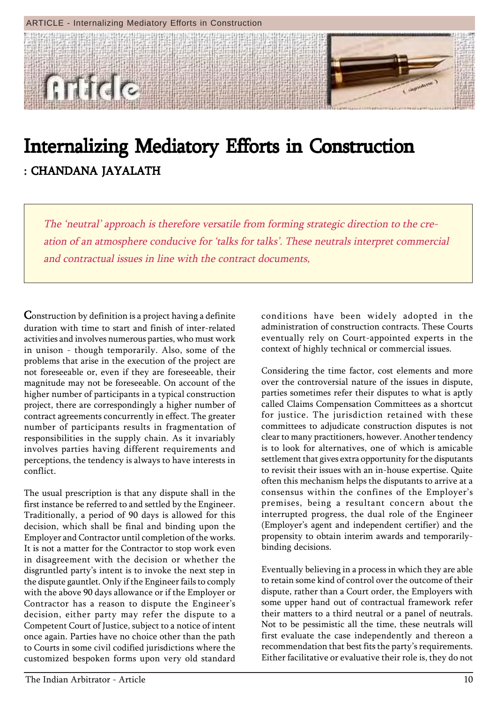

## Internalizing Mediatory Efforts in Construction : CHANDANA JAYALATH

The 'neutral' approach is therefore versatile from forming strategic direction to the creation of an atmosphere conducive for 'talks for talks'. These neutrals interpret commercial and contractual issues in line with the contract documents,

Construction by definition is a project having a definite duration with time to start and finish of inter-related activities and involves numerous parties, who must work in unison - though temporarily. Also, some of the problems that arise in the execution of the project are not foreseeable or, even if they are foreseeable, their magnitude may not be foreseeable. On account of the higher number of participants in a typical construction project, there are correspondingly a higher number of contract agreements concurrently in effect. The greater number of participants results in fragmentation of responsibilities in the supply chain. As it invariably involves parties having different requirements and perceptions, the tendency is always to have interests in conflict.

The usual prescription is that any dispute shall in the first instance be referred to and settled by the Engineer. Traditionally, a period of 90 days is allowed for this decision, which shall be final and binding upon the Employer and Contractor until completion of the works. It is not a matter for the Contractor to stop work even in disagreement with the decision or whether the disgruntled party's intent is to invoke the next step in the dispute gauntlet. Only if the Engineer fails to comply with the above 90 days allowance or if the Employer or Contractor has a reason to dispute the Engineer's decision, either party may refer the dispute to a Competent Court of Justice, subject to a notice of intent once again. Parties have no choice other than the path to Courts in some civil codified jurisdictions where the customized bespoken forms upon very old standard

conditions have been widely adopted in the administration of construction contracts. These Courts eventually rely on Court-appointed experts in the context of highly technical or commercial issues.

Considering the time factor, cost elements and more over the controversial nature of the issues in dispute, parties sometimes refer their disputes to what is aptly called Claims Compensation Committees as a shortcut for justice. The jurisdiction retained with these committees to adjudicate construction disputes is not clear to many practitioners, however. Another tendency is to look for alternatives, one of which is amicable settlement that gives extra opportunity for the disputants to revisit their issues with an in-house expertise. Quite often this mechanism helps the disputants to arrive at a consensus within the confines of the Employer's premises, being a resultant concern about the interrupted progress, the dual role of the Engineer (Employer's agent and independent certifier) and the propensity to obtain interim awards and temporarilybinding decisions.

Eventually believing in a process in which they are able to retain some kind of control over the outcome of their dispute, rather than a Court order, the Employers with some upper hand out of contractual framework refer their matters to a third neutral or a panel of neutrals. Not to be pessimistic all the time, these neutrals will first evaluate the case independently and thereon a recommendation that best fits the party's requirements. Either facilitative or evaluative their role is, they do not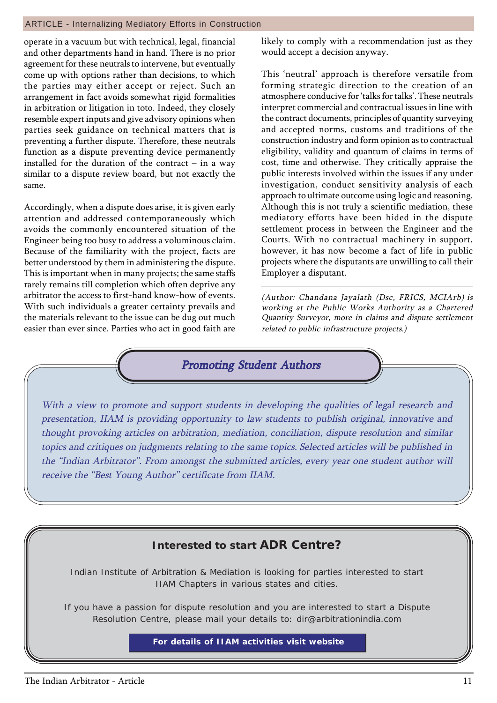#### ARTICLE - Internalizing Mediatory Efforts in Construction

operate in a vacuum but with technical, legal, financial and other departments hand in hand. There is no prior agreement for these neutrals to intervene, but eventually come up with options rather than decisions, to which the parties may either accept or reject. Such an arrangement in fact avoids somewhat rigid formalities in arbitration or litigation in toto. Indeed, they closely resemble expert inputs and give advisory opinions when parties seek guidance on technical matters that is preventing a further dispute. Therefore, these neutrals function as a dispute preventing device permanently installed for the duration of the contract  $-$  in a way similar to a dispute review board, but not exactly the same.

Accordingly, when a dispute does arise, it is given early attention and addressed contemporaneously which avoids the commonly encountered situation of the Engineer being too busy to address a voluminous claim. Because of the familiarity with the project, facts are better understood by them in administering the dispute. This is important when in many projects; the same staffs rarely remains till completion which often deprive any arbitrator the access to first-hand know-how of events. With such individuals a greater certainty prevails and the materials relevant to the issue can be dug out much easier than ever since. Parties who act in good faith are likely to comply with a recommendation just as they would accept a decision anyway.

This 'neutral' approach is therefore versatile from forming strategic direction to the creation of an atmosphere conducive for 'talks for talks'. These neutrals interpret commercial and contractual issues in line with the contract documents, principles of quantity surveying and accepted norms, customs and traditions of the construction industry and form opinion as to contractual eligibility, validity and quantum of claims in terms of cost, time and otherwise. They critically appraise the public interests involved within the issues if any under investigation, conduct sensitivity analysis of each approach to ultimate outcome using logic and reasoning. Although this is not truly a scientific mediation, these mediatory efforts have been hided in the dispute settlement process in between the Engineer and the Courts. With no contractual machinery in support, however, it has now become a fact of life in public projects where the disputants are unwilling to call their Employer a disputant.

(Author: Chandana Jayalath (Dsc, FRICS, MCIArb) is working at the Public Works Authority as a Chartered Quantity Surveyor, more in claims and dispute settlement related to public infrastructure projects.)

#### **Promoting Student Authors**

With a view to promote and support students in developing the qualities of legal research and presentation, IIAM is providing opportunity to law students to publish original, innovative and thought provoking articles on arbitration, mediation, conciliation, dispute resolution and similar topics and critiques on judgments relating to the same topics. Selected articles will be published in the "Indian Arbitrator". From amongst the submitted articles, every year one student author will receive the "Best Young Author" certificate from IIAM.

#### **Interested to start ADR Centre?**

Indian Institute of Arbitration & Mediation is looking for parties interested to start IIAM Chapters in various states and cities.

If you have a passion for dispute resolution and you are interested to start a Dispute Resolution Centre, please mail your details to: dir@arbitrationindia.com

#### **For details of IIAM activities visit website**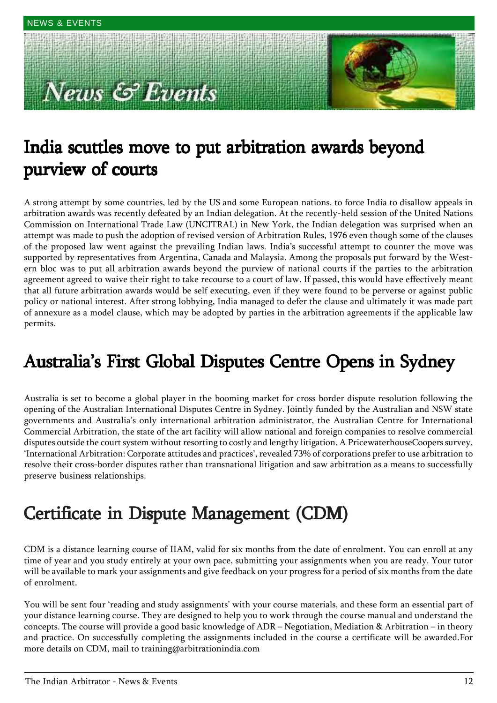# **Example 3 Events**



### India scuttles move to put arbitration awards beyond purview of courts

A strong attempt by some countries, led by the US and some European nations, to force India to disallow appeals in arbitration awards was recently defeated by an Indian delegation. At the recently-held session of the United Nations Commission on International Trade Law (UNCITRAL) in New York, the Indian delegation was surprised when an attempt was made to push the adoption of revised version of Arbitration Rules, 1976 even though some of the clauses of the proposed law went against the prevailing Indian laws. Indiaís successful attempt to counter the move was supported by representatives from Argentina, Canada and Malaysia. Among the proposals put forward by the Western bloc was to put all arbitration awards beyond the purview of national courts if the parties to the arbitration agreement agreed to waive their right to take recourse to a court of law. If passed, this would have effectively meant that all future arbitration awards would be self executing, even if they were found to be perverse or against public policy or national interest. After strong lobbying, India managed to defer the clause and ultimately it was made part of annexure as a model clause, which may be adopted by parties in the arbitration agreements if the applicable law permits.

### Australia's First Global Disputes Centre Opens in Sydney

Australia is set to become a global player in the booming market for cross border dispute resolution following the opening of the Australian International Disputes Centre in Sydney. Jointly funded by the Australian and NSW state governments and Australiaís only international arbitration administrator, the Australian Centre for International Commercial Arbitration, the state of the art facility will allow national and foreign companies to resolve commercial disputes outside the court system without resorting to costly and lengthy litigation. A PricewaterhouseCoopers survey, 'International Arbitration: Corporate attitudes and practices', revealed 73% of corporations prefer to use arbitration to resolve their cross-border disputes rather than transnational litigation and saw arbitration as a means to successfully preserve business relationships.

### Certificate in Dispute Management (CDM)

CDM is a distance learning course of IIAM, valid for six months from the date of enrolment. You can enroll at any time of year and you study entirely at your own pace, submitting your assignments when you are ready. Your tutor will be available to mark your assignments and give feedback on your progress for a period of six months from the date of enrolment.

You will be sent four 'reading and study assignments' with your course materials, and these form an essential part of your distance learning course. They are designed to help you to work through the course manual and understand the concepts. The course will provide a good basic knowledge of ADR – Negotiation, Mediation & Arbitration – in theory and practice. On successfully completing the assignments included in the course a certificate will be awarded.For more details on CDM, mail to training@arbitrationindia.com